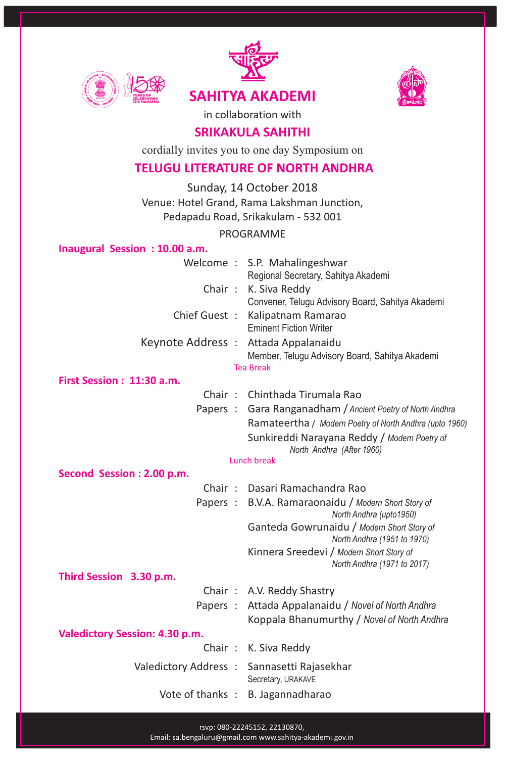





in collaboration with

# **SRIKAKULA SAHITHI**

cordially invites you to one day Symposium on

# **TELUGU LITERATURE OF NORTH ANDHRA**

Sunday, 14 October 2018 Venue: Hotel Grand, Rama Lakshman Junction, Pedapadu Road, Srikakulam - 532 001

PROGRAMME

#### **Inaugural Session : 10.00 a.m.**

Welcome : S.P. Mahalingeshwar Regional Secretary, Sahitya Akademi Chair : K. Siva Reddy Convener, Telugu Advisory Board, Sahitya Akademi Chief Guest : Kalipatnam Ramarao Eminent Fiction Writer Keynote Address : Attada Appalanaidu Member, Telugu Advisory Board, Sahitya Akademi

#### Tea Break

### **First Session : 11:30 a.m.**

- Chair : Chinthada Tirumala Rao
- Papers : Gara Ranganadham / *Ancient Poetry of North Andhra* Ramateertha / *Modern Poetry of North Andhra (upto 1960)* Sunkireddi Narayana Reddy / *Modern Poetry of North Andhra (After 1960)*

#### Lunch break

**Second Session : 2.00 p.m.**

|                         |  | Chair: Dasari Ramachandra Rao                                                  |
|-------------------------|--|--------------------------------------------------------------------------------|
|                         |  | Papers: B.V.A. Ramaraonaidu / Modern Short Story of<br>North Andhra (upto1950) |
|                         |  | Ganteda Gowrunaidu / Modern Short Story of<br>North Andhra (1951 to 1970)      |
|                         |  | Kinnera Sreedevi / Modern Short Story of<br>North Andhra (1971 to 2017)        |
| Third Session 3.30 p.m. |  |                                                                                |

|            | Chair: A.V. Reddy Shastry  |
|------------|----------------------------|
| $D$ anorca | Attada Annalanaidu / Noval |

Papers : Attada Appalanaidu / *Novel of North Andhra*  Koppala Bhanumurthy / *Novel of North Andhra* 

### **Valedictory Session: 4.30 p.m.**

- Chair : K. Siva Reddy Valedictory Address : Sannasetti Rajasekhar Secretary, URAKAVE
	- Vote of thanks : B. Jagannadharao

rsvp: 080-22245152, 22130870,

Email: sa.bengaluru@gmail.com www.sahitya-akademi.gov.in